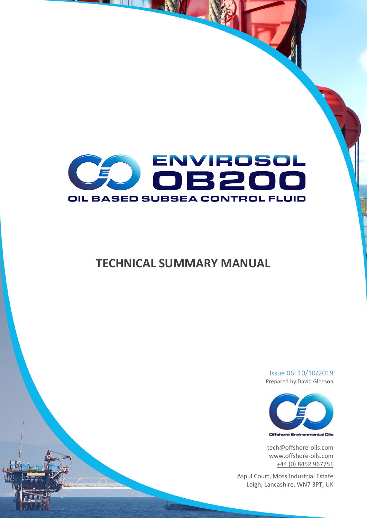

# **TECHNICAL SUMMARY MANUAL**

Issue 06: 10/10/2019 Prepared by David Gleeson



tech@offshore-oils.com www.offshore-oils.com +44 (0) 8452 967751

Aspul Court, Moss Industrial Estate Leigh, Lancashire, WN7 3PT, UK

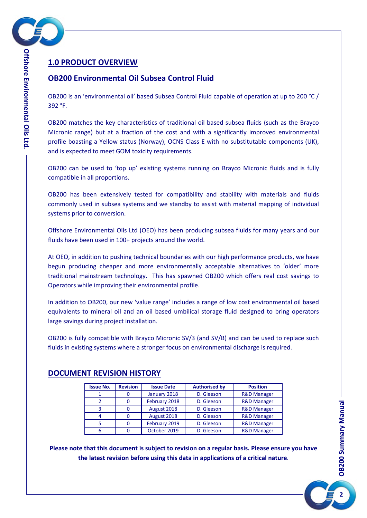

## **1.0 PRODUCT OVERVIEW**

## **OB200 Environmental Oil Subsea Control Fluid**

OB200 is an 'environmental oil' based Subsea Control Fluid capable of operation at up to 200 °C / 392 °F.

OB200 matches the key characteristics of traditional oil based subsea fluids (such as the Brayco Micronic range) but at a fraction of the cost and with a significantly improved environmental profile boasting a Yellow status (Norway), OCNS Class E with no substitutable components (UK), and is expected to meet GOM toxicity requirements.

OB200 can be used to 'top up' existing systems running on Brayco Micronic fluids and is fully compatible in all proportions.

OB200 has been extensively tested for compatibility and stability with materials and fluids commonly used in subsea systems and we standby to assist with material mapping of individual systems prior to conversion.

Offshore Environmental Oils Ltd (OEO) has been producing subsea fluids for many years and our fluids have been used in 100+ projects around the world.

At OEO, in addition to pushing technical boundaries with our high performance products, we have begun producing cheaper and more environmentally acceptable alternatives to 'older' more traditional mainstream technology. This has spawned OB200 which offers real cost savings to Operators while improving their environmental profile.

In addition to OB200, our new 'value range' includes a range of low cost environmental oil based equivalents to mineral oil and an oil based umbilical storage fluid designed to bring operators large savings during project installation.

OB200 is fully compatible with Brayco Micronic SV/3 (and SV/B) and can be used to replace such fluids in existing systems where a stronger focus on environmental discharge is required.

| <b>Issue No.</b> | <b>Revision</b> | <b>Issue Date</b> | <b>Authorised by</b> | <b>Position</b>        |
|------------------|-----------------|-------------------|----------------------|------------------------|
|                  | 0               | January 2018      | D. Gleeson           | <b>R&amp;D Manager</b> |
|                  | 0               | February 2018     | D. Gleeson           | <b>R&amp;D Manager</b> |
| ₹                | 0               | August 2018       | D. Gleeson           | <b>R&amp;D Manager</b> |
| 4                | 0               | August 2018       | D. Gleeson           | <b>R&amp;D Manager</b> |
|                  | 0               | February 2019     | D. Gleeson           | <b>R&amp;D Manager</b> |
|                  | 0               | October 2019      | D. Gleeson           | <b>R&amp;D Manager</b> |

#### **DOCUMENT REVISION HISTORY**

**Please note that this document is subject to revision on a regular basis. Please ensure you have the latest revision before using this data in applications of a critical nature**.

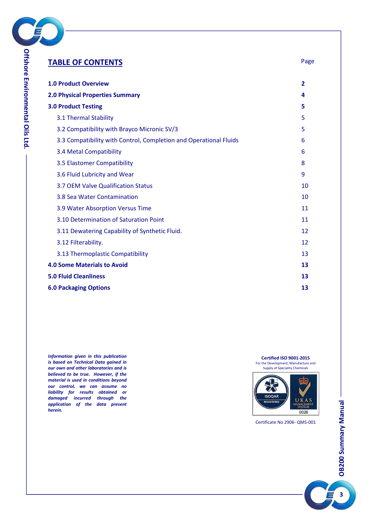

| <b>TABLE OF CONTENTS</b>                                          | Page           |
|-------------------------------------------------------------------|----------------|
| <b>1.0 Product Overview</b>                                       | $\overline{2}$ |
| <b>2.0 Physical Properties Summary</b>                            | 4              |
| <b>3.0 Product Testing</b>                                        | 5              |
| 3.1 Thermal Stability                                             | 5              |
| 3.2 Compatibility with Brayco Micronic SV/3                       | 5              |
| 3.3 Compatibility with Control, Completion and Operational Fluids | 6              |
| 3.4 Metal Compatibility                                           | 6              |
| 3.5 Elastomer Compatibility                                       | 8              |
| 3.6 Fluid Lubricity and Wear                                      | 9              |
| 3.7 OEM Valve Qualification Status                                | 10             |
| 3.8 Sea Water Contamination                                       | 10             |
| 3.9 Water Absorption Versus Time                                  | 11             |
| 3.10 Determination of Saturation Point                            | 11             |
| 3.11 Dewatering Capability of Synthetic Fluid.                    | 12             |
| 3.12 Filterability.                                               | 12             |
| 3.13 Thermoplastic Compatibility                                  | 13             |
| <b>4.0 Some Materials to Avoid</b>                                | 13             |
| <b>5.0 Fluid Cleanliness</b>                                      | 13             |
| <b>6.0 Packaging Options</b>                                      | 13             |

*Information given in this publication is based on Technical Data gained in our own and other laboratories and is believed to be true. However, if the material is used in conditions beyond our control, we can assume no liability for results obtained or damaged incurred through the application of the data present herein.*

**Certified ISO 9001-2015**<br>For the Development, Manufacture and<br>Supply of Speciality Chemicals



Certificate No 2906- QMS-001

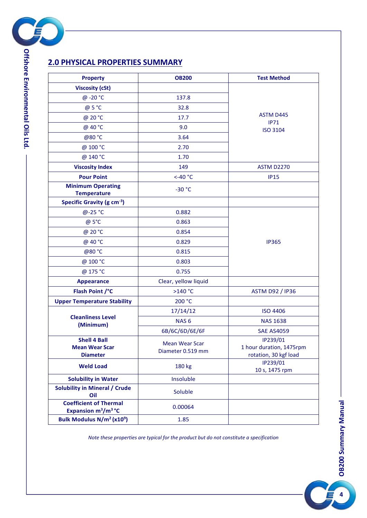

**viro n m e ntal**

**Oils**

**Ltd.**

## **2.0 PHYSICAL PROPERTIES SUMMARY**

| <b>Property</b>                                                              | <b>OB200</b>                               | <b>Test Method</b>                                            |  |  |  |
|------------------------------------------------------------------------------|--------------------------------------------|---------------------------------------------------------------|--|--|--|
| <b>Viscosity (cSt)</b>                                                       |                                            |                                                               |  |  |  |
| @ -20 °C                                                                     | 137.8                                      |                                                               |  |  |  |
| @ 5 °C                                                                       | 32.8                                       |                                                               |  |  |  |
| @ 20 °C                                                                      | 17.7                                       | <b>ASTM D445</b><br>IP71                                      |  |  |  |
| @ 40 °C                                                                      | 9.0                                        | <b>ISO 3104</b>                                               |  |  |  |
| @80 °C                                                                       | 3.64                                       |                                                               |  |  |  |
| @ 100 °C                                                                     | 2.70                                       |                                                               |  |  |  |
| @ 140 °C                                                                     | 1.70                                       |                                                               |  |  |  |
| <b>Viscosity Index</b>                                                       | 149                                        | <b>ASTM D2270</b>                                             |  |  |  |
| <b>Pour Point</b>                                                            | $<$ -40 $^{\circ}$ C                       | <b>IP15</b>                                                   |  |  |  |
| <b>Minimum Operating</b><br><b>Temperature</b>                               | $-30 °C$                                   |                                                               |  |  |  |
| Specific Gravity (g cm <sup>-3</sup> )                                       |                                            |                                                               |  |  |  |
| $@ - 25 °C$                                                                  | 0.882                                      |                                                               |  |  |  |
| @ 5°C                                                                        | 0.863                                      |                                                               |  |  |  |
| @ 20 °C                                                                      | 0.854                                      |                                                               |  |  |  |
| @ 40 °C                                                                      | 0.829                                      | <b>IP365</b>                                                  |  |  |  |
| @80 °C                                                                       | 0.815                                      |                                                               |  |  |  |
| @ 100 °C                                                                     | 0.803                                      |                                                               |  |  |  |
| @ 175 °C                                                                     | 0.755                                      |                                                               |  |  |  |
| <b>Appearance</b>                                                            | Clear, yellow liquid                       |                                                               |  |  |  |
| Flash Point /°C                                                              | >140 °C                                    | <b>ASTM D92 / IP36</b>                                        |  |  |  |
| <b>Upper Temperature Stability</b>                                           | 200 °C                                     |                                                               |  |  |  |
|                                                                              | 17/14/12                                   | <b>ISO 4406</b>                                               |  |  |  |
| <b>Cleanliness Level</b><br>(Minimum)                                        | NAS <sub>6</sub>                           | <b>NAS 1638</b>                                               |  |  |  |
|                                                                              | 6B/6C/6D/6E/6F                             | <b>SAE AS4059</b>                                             |  |  |  |
| <b>Shell 4 Ball</b><br><b>Mean Wear Scar</b><br><b>Diameter</b>              | <b>Mean Wear Scar</b><br>Diameter 0.519 mm | IP239/01<br>1 hour duration, 1475rpm<br>rotation, 30 kgf load |  |  |  |
| <b>Weld Load</b>                                                             | 180 kg                                     | IP239/01<br>10 s, 1475 rpm                                    |  |  |  |
| <b>Solubility in Water</b>                                                   | Insoluble                                  |                                                               |  |  |  |
| <b>Solubility in Mineral / Crude</b><br>Oil                                  | Soluble                                    |                                                               |  |  |  |
| <b>Coefficient of Thermal</b><br>Expansion m <sup>3</sup> /m <sup>3</sup> °C | 0.00064                                    |                                                               |  |  |  |
| Bulk Modulus N/m <sup>2</sup> (x10 <sup>9</sup> )                            | 1.85                                       |                                                               |  |  |  |

*Note these properties are typical for the product but do not constitute a specification*

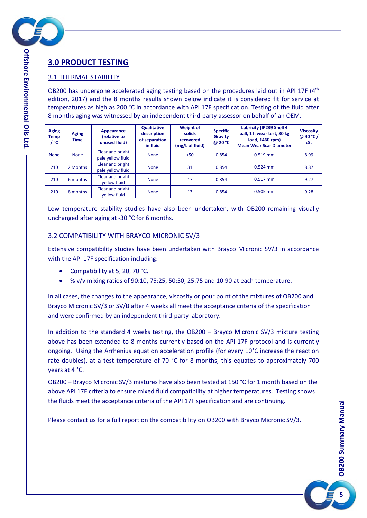

**viro n m e ntal**

**Oils**

**Ltd.**

## **3.0 PRODUCT TESTING**

#### 3.1 THERMAL STABILITY

OB200 has undergone accelerated aging testing based on the procedures laid out in API 17F  $(4<sup>th</sup>$ edition, 2017) and the 8 months results shown below indicate it is considered fit for service at temperatures as high as 200 °C in accordance with API 17F specification. Testing of the fluid after 8 months aging was witnessed by an independent third-party assessor on behalf of an OEM.

| <b>Aging</b><br><b>Temp</b><br>/ °C | <b>Aging</b><br><b>Time</b> | Appearance<br>(relative to<br>unused fluid) | <b>Qualitative</b><br>description<br>of separation<br>in fluid | <b>Weight of</b><br>solids<br>recovered<br>(mg/L of fluid) | <b>Specific</b><br>Gravity<br>@ 20 °C | Lubricity (IP239 Shell 4<br>ball, 1 h wear test, 30 kg<br>load, 1460 rpm)<br><b>Mean Wear Scar Diameter</b> | <b>Viscosity</b><br>@ 40 °C /<br>cSt |
|-------------------------------------|-----------------------------|---------------------------------------------|----------------------------------------------------------------|------------------------------------------------------------|---------------------------------------|-------------------------------------------------------------------------------------------------------------|--------------------------------------|
| <b>None</b>                         | <b>None</b>                 | Clear and bright<br>pale yellow fluid       | <b>None</b>                                                    | $50$                                                       | 0.854                                 | $0.519$ mm                                                                                                  | 8.99                                 |
| 210                                 | 2 Months                    | Clear and bright<br>pale yellow fluid       | <b>None</b>                                                    | 31                                                         | 0.854                                 | $0.524$ mm                                                                                                  | 8.87                                 |
| 210                                 | 6 months                    | Clear and bright<br>vellow fluid            | <b>None</b>                                                    | 17                                                         | 0.854                                 | $0.517$ mm                                                                                                  | 9.27                                 |
| 210                                 | 8 months                    | Clear and bright<br>vellow fluid            | <b>None</b>                                                    | 13                                                         | 0.854                                 | $0.505$ mm                                                                                                  | 9.28                                 |

Low temperature stability studies have also been undertaken, with OB200 remaining visually unchanged after aging at -30 °C for 6 months.

#### 3.2 COMPATIBILITY WITH BRAYCO MICRONIC SV/3

Extensive compatibility studies have been undertaken with Brayco Micronic SV/3 in accordance with the API 17F specification including: -

- Compatibility at 5, 20, 70 °C.
- % v/v mixing ratios of 90:10, 75:25, 50:50, 25:75 and 10:90 at each temperature.

In all cases, the changes to the appearance, viscosity or pour point of the mixtures of OB200 and Brayco Micronic SV/3 or SV/B after 4 weeks all meet the acceptance criteria of the specification and were confirmed by an independent third-party laboratory.

In addition to the standard 4 weeks testing, the OB200 – Brayco Micronic SV/3 mixture testing above has been extended to 8 months currently based on the API 17F protocol and is currently ongoing. Using the Arrhenius equation acceleration profile (for every 10°C increase the reaction rate doubles), at a test temperature of 70 °C for 8 months, this equates to approximately 700 years at 4 °C.

OB200 – Brayco Micronic SV/3 mixtures have also been tested at 150 °C for 1 month based on the above API 17F criteria to ensure mixed fluid compatibility at higher temperatures. Testing shows the fluids meet the acceptance criteria of the API 17F specification and are continuing.

Please contact us for a full report on the compatibility on OB200 with Brayco Micronic SV/3.

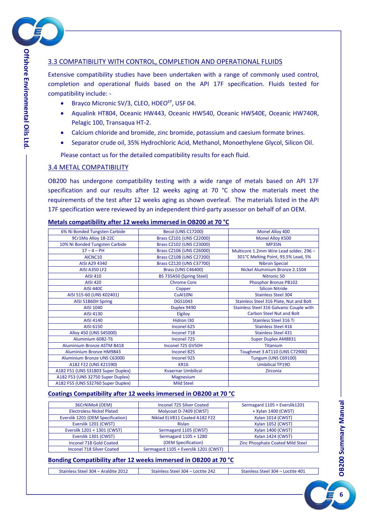

#### 3.3 COMPATIBILITY WITH CONTROL, COMPLETION AND OPERATIONAL FLUIDS

Extensive compatibility studies have been undertaken with a range of commonly used control, completion and operational fluids based on the API 17F specification. Fluids tested for compatibility include: -

- Brayco Micronic SV/3, CLEO, HDEO<sup>EP</sup>, USF 04.
- Aqualink HT804, Oceanic HW443, Oceanic HW540, Oceanic HW540E, Oceanic HW740R, Pelagic 100, Transaqua HT-2.
- Calcium chloride and bromide, zinc bromide, potassium and caesium formate brines.
- Separator crude oil, 35% Hydrochloric Acid, Methanol, Monoethylene Glycol, Silicon Oil.

Please contact us for the detailed compatibility results for each fluid.

#### 3.4 METAL COMPATIBILITY

OB200 has undergone compatibility testing with a wide range of metals based on API 17F specification and our results after 12 weeks aging at 70  $^{\circ}$ C show the materials meet the requirements of the test after 12 weeks aging as shown overleaf. The materials listed in the API 17F specification were reviewed by an independent third-party assessor on behalf of an OEM.

| 6% Ni Bonded Tungsten Carbide      | Becol (UNS C17200)        | Monel Alloy 400                          |
|------------------------------------|---------------------------|------------------------------------------|
| 9Cr1Mo Alloy 18-22C                | Brass CZ101 (UNS C22000)  | Monel Alloy K500                         |
| 10% Ni Bonded Tungsten Carbide     | Brass CZ102 (UNS C23000)  | <b>MP35N</b>                             |
| $17 - 4 - PH$                      | Brass CZ106 (UNS C26000)  | Multicore 1.2mm Wire Lead solder, 296 -  |
| AICNC10                            | Brass CZ108 (UNS C27200)  | 301°C Melting Point, 93.5% Lead, 5%      |
| AISI A29 4340                      | Brass CZ120 (UNS C37700)  | <b>Nibron Special</b>                    |
| <b>AISI A350 LF2</b>               | <b>Brass (UNS C46400)</b> | Nickel Aluminium Bronze 2.1504           |
| <b>AISI 410</b>                    | BS 735A50 (Spring Steel)  | Nitronic 50                              |
| <b>AISI 420</b>                    | <b>Chrome Core</b>        | Phosphor Bronze PB102                    |
| <b>AISI 440C</b>                   | Copper                    | <b>Silicon Nitride</b>                   |
| AISI 515-60 (UNS K02401)           | CuAl10Ni                  | <b>Stainless Steel 304</b>               |
| AISI 51B60H Spring                 | <b>DGS1043</b>            | Stainless Steel 316 Plate, Nut and Bolt  |
| AISI 1040                          | Duplex 9490               | Stainless Steel 316 Galvanic Couple with |
| AISI 4130                          | Elgiloy                   | <b>Carbon Steel Nut and Bolt</b>         |
| AISI 4140                          | Hidron I30                | <b>Stainless Steel 316 Ti</b>            |
| AISI 6150                          | Inconel 625               | <b>Stainless Steel 416</b>               |
| Alloy 450 (UNS S45000)             | Inconel 718               | <b>Stainless Steel 431</b>               |
| Aluminium 6082-T6                  | Inconel 725               | <b>Super Duplex AM8831</b>               |
| <b>Aluminium Bronze ASTM B418</b>  | Inconel 725 GV50H         | <b>Titanium</b>                          |
| <b>Aluminium Bronze HM9843</b>     | Inconel 825               | Toughmet 3 AT110 (UNS C72900)            |
| Aluminium Bronze UNS C63000        | Inconel 925               | Tungum (UNS C69100)                      |
| A182 F22 (UNS K21590)              | <b>KR16</b>               | <b>Umbilical TP19D</b>                   |
| A182 F51 (UNS S31803 Super Duplex) | <b>Kvaernar Umbilical</b> | <b>Zirconia</b>                          |
| A182 F53 (UNS 32750 Super Duplex)  | <b>Magnesium</b>          |                                          |
| A182 F55 (UNS S32760 Super Duplex) | <b>Mild Steel</b>         |                                          |

#### **Metals compatibility after 12 weeks immersed in OB200 at 70 °C**

#### **Coatings Compatibility after 12 weeks immersed in OB200 at 70 °C**

| 36CrNiMo4 (OEM)                   | <b>Inconel 725 Silver Coated</b>      | Sermagard 1105 + Everslik1201    |
|-----------------------------------|---------------------------------------|----------------------------------|
| <b>Electroless Nickel Plated</b>  | Molycoat D-7409 (CWST)                | + Xylan 1400 (CWST)              |
| Everslik 1201 (OEM Specification) | Niklad ELV811 Coated A182 F22         | <b>Xylan 1014 (CWST)</b>         |
| Everslik 1201 (CWST)              | Rislan                                | Xylan 1052 (CWST)                |
| Everslik 1201 + 1301 (CWST)       | Sermagard 1105 (CWST)                 | Xylan 1400 (CWST)                |
| Everslik 1301 (CWST)              | Sermagard 1105 + 1280                 | Xylan 1424 (CWST)                |
| Inconel 718 Gold Coated           | (OEM Specification)                   | Zinc Phosphate Coated Mild Steel |
| <b>Inconel 718 Silver Coated</b>  | Sermagard 1105 + Everslik 1201 (CWST) |                                  |
|                                   |                                       |                                  |

#### **Bonding Compatibility after 12 weeks immersed in OB200 at 70 °C**

| Stainless Steel 304 - Araldite 2012 | Stainless Steel 304 – Loctite 242 | Stainless Steel 304 - Loctite 401 |
|-------------------------------------|-----------------------------------|-----------------------------------|

**6**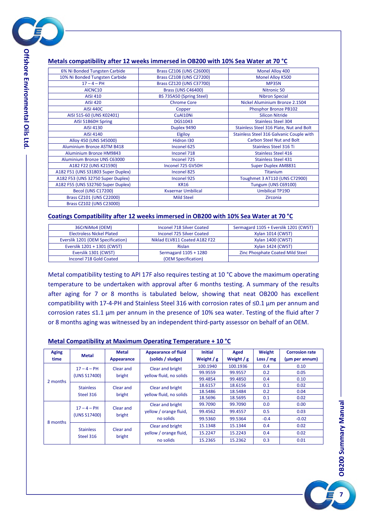

**viro n m e ntal**

**Oils**

**Ltd.**

#### **Metals compatibility after 12 weeks immersed in OB200 with 10% Sea Water at 70 °C**

| 6% Ni Bonded Tungsten Carbide      | Brass CZ106 (UNS C26000)  | Monel Alloy 400                          |
|------------------------------------|---------------------------|------------------------------------------|
| 10% Ni Bonded Tungsten Carbide     | Brass CZ108 (UNS C27200)  | Monel Alloy K500                         |
| $17 - 4 - PH$                      | Brass CZ120 (UNS C37700)  | <b>MP35N</b>                             |
| AICNC10                            | <b>Brass (UNS C46400)</b> | Nitronic 50                              |
| <b>AISI 410</b>                    | BS 735A50 (Spring Steel)  | <b>Nibron Special</b>                    |
| <b>AISI 420</b>                    | <b>Chrome Core</b>        | Nickel Aluminium Bronze 2.1504           |
| <b>AISI 440C</b>                   | Copper                    | Phosphor Bronze PB102                    |
| AISI 515-60 (UNS K02401)           | CuAl10Ni                  | <b>Silicon Nitride</b>                   |
| AISI 51B60H Spring                 | <b>DGS1043</b>            | <b>Stainless Steel 304</b>               |
| AISI 4130                          | Duplex 9490               | Stainless Steel 316 Plate, Nut and Bolt  |
| AISI 4140                          | <b>Elgiloy</b>            | Stainless Steel 316 Galvanic Couple with |
| Alloy 450 (UNS S45000)             | Hidron I30                | <b>Carbon Steel Nut and Bolt</b>         |
| <b>Aluminium Bronze ASTM B418</b>  | Inconel 625               | <b>Stainless Steel 316 Ti</b>            |
| <b>Aluminium Bronze HM9843</b>     | Inconel 718               | <b>Stainless Steel 416</b>               |
| Aluminium Bronze UNS C63000        | Inconel 725               | <b>Stainless Steel 431</b>               |
| A182 F22 (UNS K21590)              | Inconel 725 GV50H         | <b>Super Duplex AM8831</b>               |
| A182 F51 (UNS S31803 Super Duplex) | Inconel 825               | <b>Titanium</b>                          |
| A182 F53 (UNS 32750 Super Duplex)  | Inconel 925               | Toughmet 3 AT110 (UNS C72900)            |
| A182 F55 (UNS S32760 Super Duplex) | <b>KR16</b>               | Tungum (UNS C69100)                      |
| <b>Becol (UNS C17200)</b>          | <b>Kvaernar Umbilical</b> | <b>Umbilical TP19D</b>                   |
| Brass CZ101 (UNS C22000)           | <b>Mild Steel</b>         | Zirconia                                 |
| Brass CZ102 (UNS C23000)           |                           |                                          |

#### **Coatings Compatibility after 12 weeks immersed in OB200 with 10% Sea Water at 70 °C**

| 36CrNiMo4 (OEM)                   | Inconel 718 Silver Coated        | Sermagard 1105 + Everslik 1201 (CWST) |
|-----------------------------------|----------------------------------|---------------------------------------|
| <b>Electroless Nickel Plated</b>  | <b>Inconel 725 Silver Coated</b> | <b>Xylan 1014 (CWST)</b>              |
| Everslik 1201 (OEM Specification) | Niklad ELV811 Coated A182 F22    | <b>Xylan 1400 (CWST)</b>              |
| Everslik 1201 + 1301 (CWST)       | <b>Rislan</b>                    | Xylan 1424 (CWST)                     |
| Everslik 1301 (CWST)              | Sermagard 1105 + 1280            | Zinc Phosphate Coated Mild Steel      |
| Inconel 718 Gold Coated           | (OEM Specification)              |                                       |

Metal compatibility testing to API 17F also requires testing at 10 °C above the maximum operating temperature to be undertaken with approval after 6 months testing. A summary of the results after aging for 7 or 8 months is tabulated below, showing that neat OB200 has excellent compatibility with 17-4-PH and Stainless Steel 316 with corrosion rates of ≤0.1 µm per annum and corrosion rates ≤1.1 µm per annum in the presence of 10% sea water. Testing of the fluid after 7 or 8 months aging was witnessed by an independent third-party assessor on behalf of an OEM.

#### **Metal Compatibility at Maximum Operating Temperature + 10 °C**

| <b>Aging</b><br>time | <b>Metal</b>                  | <b>Metal</b><br>Appearance | <b>Appearance of fluid</b><br>(solids / sludge) | <b>Initial</b><br>Weight $/g$ | Aged<br>Weight $/g$ | Weight<br>Loss $/mg$ | <b>Corrosion rate</b><br>(um per annum) |
|----------------------|-------------------------------|----------------------------|-------------------------------------------------|-------------------------------|---------------------|----------------------|-----------------------------------------|
|                      | $17 - 4 - PH$                 | Clear and                  | Clear and bright                                | 100.1940                      | 100.1936            | 0.4                  | 0.10                                    |
|                      | (UNS S17400)                  | bright                     | yellow fluid, no solids                         | 99.9559                       | 99.9557             | 0.2                  | 0.05                                    |
| 2 months             |                               |                            |                                                 | 99.4854                       | 99.4850             | 0.4                  | 0.10                                    |
|                      | <b>Stainless</b>              | Clear and                  | Clear and bright                                | 18.6157                       | 18.6156             | 0.1                  | 0.02                                    |
|                      | Steel 316                     | bright                     | yellow fluid, no solids                         | 18.5486                       | 18.5484             | 0.2                  | 0.04                                    |
|                      |                               |                            |                                                 | 18.5696                       | 18.5695             | 0.1                  | 0.02                                    |
| 8 months             | $17 - 4 - PH$<br>(UNS S17400) | Clear and<br>bright        | Clear and bright                                | 99.7090                       | 99.7090             | 0.0                  | 0.00                                    |
|                      |                               |                            | yellow / orange fluid,                          | 99.4562                       | 99.4557             | 0.5                  | 0.03                                    |
|                      |                               |                            | no solids                                       | 99.5360                       | 99.5364             | $-0.4$               | $-0.02$                                 |
|                      | <b>Stainless</b>              | Clear and<br>bright        | Clear and bright                                | 15.1348                       | 15.1344             | 0.4                  | 0.02                                    |
|                      | Steel 316                     |                            | yellow / orange fluid,                          | 15.2247                       | 15.2243             | 0.4                  | 0.02                                    |
|                      |                               |                            | no solids                                       | 15.2365                       | 15.2362             | 0.3                  | 0.01                                    |

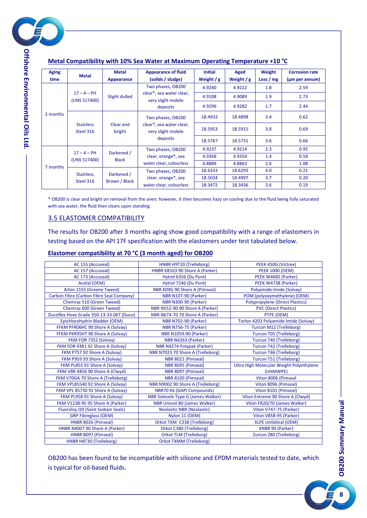

| <b>Aging</b> | <b>Metal</b>                  | <b>Metal</b>               | <b>Appearance of fluid</b>                     | <b>Initial</b> | Aged        | Weight     | <b>Corrosion rate</b> |
|--------------|-------------------------------|----------------------------|------------------------------------------------|----------------|-------------|------------|-----------------------|
| time         |                               | Appearance                 | (solids / sludge)                              | Weight $/g$    | Weight $/g$ | Loss $/mg$ | (um per annum)        |
|              |                               |                            | Two phases, OB200                              | 4.9240         | 4.9222      | 1.8        | 2.59                  |
|              | $17 - 4 - PH$<br>(UNS S17400) | Slight dulled              | clear*, sea water clear,<br>very slight mobile | 4.9108         | 4.9089      | 1.9        | 2.73                  |
|              |                               |                            | deposits                                       | 4.9299         | 4.9282      | 1.7        | 2.44                  |
| 2 months     | <b>Stainless</b><br>Steel 316 | Clear and<br>bright        | Two phases, OB200                              | 18.4932        | 18.4898     | 3.4        | 0.62                  |
|              |                               |                            | clear*, sea water clear,<br>very slight mobile | 18.5953        | 18.5915     | 3.8        | 0.69                  |
|              |                               |                            | deposits                                       | 18.5767        | 18.5731     | 3.6        | 0.66                  |
|              | $17 - 4 - PH$                 | Darkened /                 | Two phases, OB200                              | 4.9237         | 4.9214      | 2.3        | 0.95                  |
|              | (UNS S17400)                  | <b>Black</b>               | clear, orange <sup>*</sup> , sea               | 4.9368         | 4.9354      | 1.4        | 0.58                  |
| 7 months     |                               |                            | water clear, colourless                        | 4.8889         | 4.8863      | 2.6        | 1.08                  |
|              | <b>Stainless</b>              | Darkened /                 | Two phases, OB200                              | 18.6333        | 18.6293     | 4.0        | 0.21                  |
|              |                               | Brown / Black<br>Steel 316 | clear, orange*, sea                            | 18.5034        | 18.4997     | 3.7        | 0.20                  |
|              |                               |                            | water clear, colourless                        | 18.3472        | 18.3436     | 3.6        | 0.19                  |

#### **Metal Compatibility with 10% Sea Water at Maximum Operating Temperature +10 °C**

\* OB200 is clear and bright on removal from the oven; however, it then becomes hazy on cooling due to the fluid being fully saturated with sea water, the fluid then clears upon standing.

#### 3.5 ELASTOMER COMPATIBILITY

The results for OB200 after 3 months aging show good compatibility with a range of elastomers in testing based on the API 17F specification with the elastomers under test tabulated below.

#### **Elastomer compatibility at 70 °C (3 month aged) for OB200**

| AC 155 (Accuseal)                        | HNBR H9T20 (Trelleborg)              | PEEK 450G (Victrex)                      |
|------------------------------------------|--------------------------------------|------------------------------------------|
| AC 157 (Accuseal)                        | HNBR KB163 90 Shore A (Parker)       | <b>PEEK 1000 (OEM)</b>                   |
| AC 173 (Accuseal)                        | Hytrel 6356 (Du Pont)                | PEEK W4685 (Parker)                      |
| Acetal (OEM)                             | Hytrel 7246 (Du Pont)                | PEEK W4738 (Parker)                      |
| Arlon 1555 (Greene Tweed)                | NBR K09G 90 Shore A (Pimseal)        | Polyamide-Imide (Solvay)                 |
| Carbon Fibre (Carbon Fibre Seal Company) | <b>NBR N107-90 (Parker)</b>          | POM (polyoxymethylene) (OEM)             |
| Chemraz 510 (Green Tweed)                | <b>NBR N300-90 (Parker)</b>          | <b>Polypropylene (Direct Plastics)</b>   |
| Chemraz 600 (Green Tweed)                | NBR N552-90 90 Shore A (Parker)      | <b>PVC (Direct Plastics)</b>             |
| Ducoflex Hose Grade 350-13-33-06T (Duco) | NBR N674-70 70 Shore A (Parker)      | PTFE (OEM)                               |
| Epichlorohydrin Bladder (OEM)            | <b>NBR N702-90 (Parker)</b>          | Torlon 4203 Polyamide-Imide (Solvay)     |
| FFKM PFR06HC 90 Shore A (Solvay)         | <b>NBR N756-75 (Parker)</b>          | <b>Turcon M12 (Trelleborg)</b>           |
| FFKM PKR95HT 90 Shore A (Solvay)         | <b>NBR N1059-90 (Parker)</b>         | <b>Turcon T05 (Trelleborg)</b>           |
| FKM FOR 7352 (Solvay)                    | NBR N4263 (Parker)                   | <b>Turcon T40 (Trelleborg)</b>           |
| FKM FOR 9381 92 Shore A (Solvay)         | NBR N4274 Polypak (Parker)           | Turcon T42 (Trelleborg)                  |
| FKM P757 92 Shore A (Solvay)             | NBR N7023 70 Shore A (Trelleborg)    | <b>Turcon T46 (Trelleborg)</b>           |
| FKM P959 93 Shore A (Solvay)             | NBR 8021 (Pimseal)                   | Turcon T51 (Trelleborg)                  |
| FKM PL855 91 Shore A (Solvay)            | NBR 8095 (Pimseal)                   | Ultra High Molecular Weight Polyethylene |
| FKM VBR X856 90 Shore A (Clwyd)          | NBR 8097 (Pimseal)                   | (UHMWPE)                                 |
| FKM V70GA 70 Shore A (Trelleborg)        | NBR 8100 (Pimseal)                   | Viton 8006 (Pimseal                      |
| FKM VPL85540 92 Shore A (Solvay)         | NBR N9002 90 Shore A (Trelleborg)    | Viton 8096 (Pimseal)                     |
| FKM VPL 85730 91 Shore A (Solvay)        | NBR70 K6 (GAPI Compounds)            | Viton 8101 (Pimseal)                     |
| FKM PL958 91 Shore A (Solvay)            | NBR Solesele Type G (James Walker)   | Viton Extreme 90 Shore A (Clwyd)         |
| FKM V1238-95 95 Shore A (Parker)         | <b>NBR Univoil 80 (James Walker)</b> | Viton FR20/70 (James Walker)             |
| Fluoroloy Q9 (Saint Gobain Seals)        | <b>Neolastic NBR (Neolastic)</b>     | Viton V747-75 (Parker)                   |
| <b>GRP Fibreglass (OEM)</b>              | Nylon 11 (OEM)                       | Viton V858-95 (Parker)                   |
| HNBR 8026 (Pimseal)                      | Orkot TXM C338 (Trelleborg)          | <b>XLPE Umbilical (OEM)</b>              |
| HNBR N4007 90 Shore A (Parker)           | Orkot C380 (Trelleborg)              | XNBR 90 (Parker)                         |
| HNBR 8097 (Pimseal)                      | <b>Orkot TLM (Trelleborg)</b>        | Zurcon Z80 (Trelleborg)                  |
| HNBR H8T30 (Trelleborg)                  | <b>Orkot TXMM (Trelleborg)</b>       |                                          |
|                                          |                                      |                                          |

OB200 has been found to be incompatible with silicone and EPDM materials tested to date, which is typical for oil-based fluids.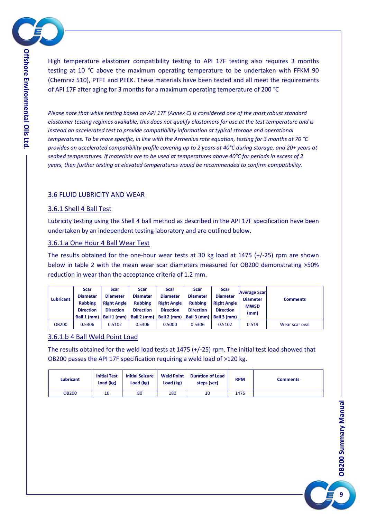

High temperature elastomer compatibility testing to API 17F testing also requires 3 months testing at 10 °C above the maximum operating temperature to be undertaken with FFKM 90 (Chemraz 510), PTFE and PEEK. These materials have been tested and all meet the requirements of API 17F after aging for 3 months for a maximum operating temperature of 200 °C

*Please note that while testing based on API 17F (Annex C) is considered one of the most robust standard elastomer testing regimes available, this does not qualify elastomers for use at the test temperature and is instead an accelerated test to provide compatibility information at typical storage and operational temperatures. To be more specific, in line with the Arrhenius rate equation, testing for 3 months at 70 °C provides an accelerated compatibility profile covering up to 2 years at 40°C during storage, and 20+ years at seabed temperatures. If materials are to be used at temperatures above 40°C for periods in excess of 2 years, then further testing at elevated temperatures would be recommended to confirm compatibility.*

#### 3.6 FLUID LUBRICITY AND WEAR

#### 3.6.1 Shell 4 Ball Test

Lubricity testing using the Shell 4 ball method as described in the API 17F specification have been undertaken by an independent testing laboratory and are outlined below.

#### 3.6.1.a One Hour 4 Ball Wear Test

The results obtained for the one-hour wear tests at 30 kg load at 1475 (+/-25) rpm are shown below in table 2 with the mean wear scar diameters measured for OB200 demonstrating >50% reduction in wear than the acceptance criteria of 1.2 mm.

| Lubricant    | <b>Scar</b><br><b>Diameter</b><br><b>Rubbing</b><br><b>Direction</b><br>Ball 1 (mm) | <b>Scar</b><br><b>Diameter</b><br><b>Right Angle</b><br><b>Direction</b><br>Ball 1 (mm) | Scar<br><b>Diameter</b><br><b>Rubbing</b><br><b>Direction</b><br>Ball 2 (mm) | Scar<br><b>Diameter</b><br><b>Right Angle</b><br><b>Direction</b><br>Ball 2 (mm) | <b>Scar</b><br><b>Diameter</b><br><b>Rubbing</b><br><b>Direction</b><br>Ball 3 (mm) | <b>Scar</b><br><b>Diameter</b><br><b>Right Angle</b><br><b>Direction</b><br>Ball 3 (mm) | <b>Average Scar</b><br><b>Diameter</b><br><b>MWSD</b><br>(mm) | <b>Comments</b> |
|--------------|-------------------------------------------------------------------------------------|-----------------------------------------------------------------------------------------|------------------------------------------------------------------------------|----------------------------------------------------------------------------------|-------------------------------------------------------------------------------------|-----------------------------------------------------------------------------------------|---------------------------------------------------------------|-----------------|
| <b>OB200</b> | 0.5306                                                                              | 0.5102                                                                                  | 0.5306                                                                       | 0.5000                                                                           | 0.5306                                                                              | 0.5102                                                                                  | 0.519                                                         | Wear scar oval  |

#### 3.6.1.b 4 Ball Weld Point Load

The results obtained for the weld load tests at 1475 (+/-25) rpm. The initial test load showed that OB200 passes the API 17F specification requiring a weld load of >120 kg.

| <b>Lubricant</b> | <b>Initial Test</b><br>Load (kg) | <b>Initial Seizure</b><br>Load (kg) | <b>Weld Point</b><br>Load (kg) | <b>Duration of Load</b><br>steps (sec) | <b>RPM</b> | Comments |
|------------------|----------------------------------|-------------------------------------|--------------------------------|----------------------------------------|------------|----------|
| <b>OB200</b>     | 10                               | 80                                  | 180                            | 10                                     | 1475       |          |

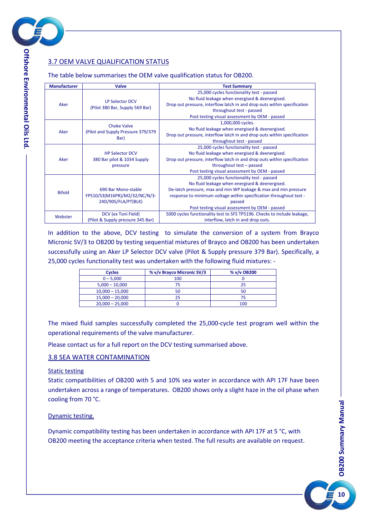

## 3.7 OEM VALVE QUALIFICATION STATUS

The table below summarises the OEM valve qualification status for OB200.

| <b>Manufacturer</b> | <b>Valve</b>                                                                | <b>Test Summary</b>                                                                                                                                                                                                                                                                               |  |  |  |  |
|---------------------|-----------------------------------------------------------------------------|---------------------------------------------------------------------------------------------------------------------------------------------------------------------------------------------------------------------------------------------------------------------------------------------------|--|--|--|--|
| Aker                | <b>LP Selector DCV</b>                                                      | 25,000 cycles functionality test - passed<br>No fluid leakage when energised & deenergised.<br>Drop out pressure, interflow latch in and drop outs within specification                                                                                                                           |  |  |  |  |
|                     | (Pilot 380 Bar, Supply 569 Bar)                                             | throughout test - passed<br>Post testing visual assessment by OEM - passed                                                                                                                                                                                                                        |  |  |  |  |
| Aker                | <b>Choke Valve</b><br>(Pilot and Supply Pressure 379/379)<br>Bar)           | 1,000,000 cycles.<br>No fluid leakage when energised & deenergised.<br>Drop out pressure, interflow latch in and drop outs within specification<br>throughout test - passed                                                                                                                       |  |  |  |  |
| Aker                | <b>HP Selector DCV</b><br>380 Bar pilot & 1034 Supply<br>pressure           | 25,000 cycles functionality test - passed<br>No fluid leakage when energised & deenergised.<br>Drop out pressure, interflow latch in and drop outs within specification<br>throughout test - passed<br>Post testing visual assessment by OEM - passed                                             |  |  |  |  |
| <b>Bifold</b>       | 690 Bar Mono-stable<br>FPS10/S3(M16PR)/M2/32/NC/N/3-<br>24D/90S/FLA/PT(BLK) | 25,000 cycles functionality test - passed<br>No fluid leakage when energised & deenergised.<br>De-latch pressure, max and min WP leakage & max and min pressure<br>response to minimum voltage within specification throughout test -<br>passed<br>Post testing visual assessment by OEM - passed |  |  |  |  |
| Webster             | DCV (ex Toni Field)<br>(Pilot & Supply pressure 345 Bar)                    | 5000 cycles functionality test to SFS TP5196. Checks to include leakage,<br>interflow, latch in and drop outs.                                                                                                                                                                                    |  |  |  |  |

In addition to the above, DCV testing to simulate the conversion of a system from Brayco Micronic SV/3 to OB200 by testing sequential mixtures of Brayco and OB200 has been undertaken successfully using an Aker LP Selector DCV valve (Pilot & Supply pressure 379 Bar). Specifically, a 25,000 cycles functionality test was undertaken with the following fluid mixtures: -

| <b>Cycles</b>     | % v/v Brayco Micronic SV/3 | % v/v OB200 |  |  |
|-------------------|----------------------------|-------------|--|--|
| $0 - 5,000$       | 100                        |             |  |  |
| $5,000 - 10,000$  |                            | 25          |  |  |
| $10,000 - 15,000$ |                            | 50          |  |  |
| $15,000 - 20,000$ |                            | 75          |  |  |
| $20,000 - 25,000$ |                            | 100         |  |  |

The mixed fluid samples successfully completed the 25,000-cycle test program well within the operational requirements of the valve manufacturer.

Please contact us for a full report on the DCV testing summarised above.

#### 3.8 SEA WATER CONTAMINATION

#### Static testing

Static compatibilities of OB200 with 5 and 10% sea water in accordance with API 17F have been undertaken across a range of temperatures. OB200 shows only a slight haze in the oil phase when cooling from 70 °C.

#### Dynamic testing.

Dynamic compatibility testing has been undertaken in accordance with API 17F at 5 °C, with OB200 meeting the acceptance criteria when tested. The full results are available on request.

**OB200Summary Manual**



**Offsh ore En viro n m e ntal Oils Ltd.**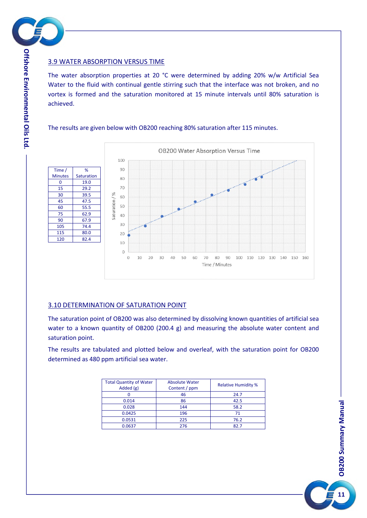

#### 3.9 WATER ABSORPTION VERSUS TIME

The water absorption properties at 20 °C were determined by adding 20% w/w Artificial Sea Water to the fluid with continual gentle stirring such that the interface was not broken, and no vortex is formed and the saturation monitored at 15 minute intervals until 80% saturation is achieved.

#### The results are given below with OB200 reaching 80% saturation after 115 minutes.



#### 3.10 DETERMINATION OF SATURATION POINT

The saturation point of OB200 was also determined by dissolving known quantities of artificial sea water to a known quantity of OB200 (200.4 g) and measuring the absolute water content and saturation point.

The results are tabulated and plotted below and overleaf, with the saturation point for OB200 determined as 480 ppm artificial sea water.

| <b>Total Quantity of Water</b><br>Added $(g)$ | <b>Absolute Water</b><br>Content / ppm | <b>Relative Humidity %</b> |  |
|-----------------------------------------------|----------------------------------------|----------------------------|--|
|                                               | 46                                     | 24.7                       |  |
| 0.014                                         | 86                                     | 42.5                       |  |
| 0.028                                         | 144                                    | 58.2                       |  |
| 0.0425                                        | 196                                    | 71                         |  |
| 0.0531                                        | 225                                    | 76.2                       |  |
| 0.0637                                        | 276                                    | 82.7                       |  |



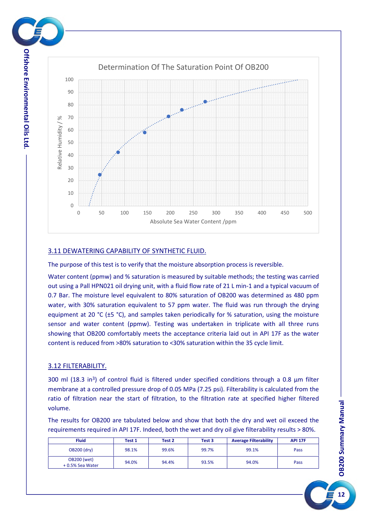

**viro n m e ntal**

**Oils**

**Ltd.**



#### 3.11 DEWATERING CAPABILITY OF SYNTHETIC FLUID.

The purpose of this test is to verify that the moisture absorption process is reversible.

Water content (ppmw) and % saturation is measured by suitable methods; the testing was carried out using a Pall HPN021 oil drying unit, with a fluid flow rate of 21 L min-1 and a typical vacuum of 0.7 Bar. The moisture level equivalent to 80% saturation of OB200 was determined as 480 ppm water, with 30% saturation equivalent to 57 ppm water. The fluid was run through the drying equipment at 20  $°C$  ( $±$ 5  $°C$ ), and samples taken periodically for % saturation, using the moisture sensor and water content (ppmw). Testing was undertaken in triplicate with all three runs showing that OB200 comfortably meets the acceptance criteria laid out in API 17F as the water content is reduced from >80% saturation to <30% saturation within the 35 cycle limit.

#### 3.12 FILTERABILITY.

300 ml (18.3 in<sup>3</sup>) of control fluid is filtered under specified conditions through a 0.8 µm filter membrane at a controlled pressure drop of 0.05 MPa (7.25 psi). Filterability is calculated from the ratio of filtration near the start of filtration, to the filtration rate at specified higher filtered volume.

The results for OB200 are tabulated below and show that both the dry and wet oil exceed the requirements required in API 17F. Indeed, both the wet and dry oil give filterability results > 80%.

| <b>Fluid</b>                          | Test 1 | Test 2 | Test 3 | <b>Average Filterability</b> | <b>API 17F</b> |
|---------------------------------------|--------|--------|--------|------------------------------|----------------|
| <b>OB200 (dry)</b>                    | 98.1%  | 99.6%  | 99.7%  | 99.1%                        | Pass           |
| <b>OB200 (wet)</b><br>+0.5% Sea Water | 94.0%  | 94.4%  | 93.5%  | 94.0%                        | Pass           |